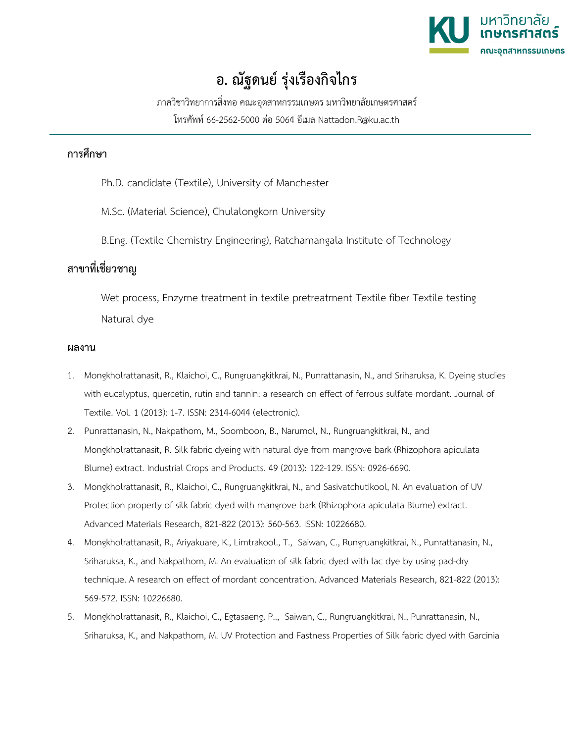

## **อ. ณัฐดนย รุงเรืองกิจไกร**

ภาควิชาวิทยาการสิ่งทอ คณะอุตสาหกรรมเกษตร มหาวิทยาลัยเกษตรศาสตร

โทรศัพท 66-2562-5000 ตอ 5064 อีเมล Nattadon.R@ku.ac.th

## **การศึกษา**

Ph.D. candidate (Textile), University of Manchester

M.Sc. (Material Science), Chulalongkorn University

B.Eng. (Textile Chemistry Engineering), Ratchamangala Institute of Technology

## **สาขาที่เชี่ยวชาญ**

Wet process, Enzyme treatment in textile pretreatment Textile fiber Textile testing Natural dye

## **ผลงาน**

- 1. Mongkholrattanasit, R., Klaichoi, C., Rungruangkitkrai, N., Punrattanasin, N., and Sriharuksa, K. Dyeing studies with eucalyptus, quercetin, rutin and tannin: a research on effect of ferrous sulfate mordant. Journal of Textile. Vol. 1 (2013): 1-7. ISSN: 2314-6044 (electronic).
- 2. Punrattanasin, N., Nakpathom, M., Soomboon, B., Narumol, N., Rungruangkitkrai, N., and Mongkholrattanasit, R. Silk fabric dyeing with natural dye from mangrove bark (Rhizophora apiculata Blume) extract. Industrial Crops and Products. 49 (2013): 122-129. ISSN: 0926-6690.
- 3. Mongkholrattanasit, R., Klaichoi, C., Rungruangkitkrai, N., and Sasivatchutikool, N. An evaluation of UV Protection property of silk fabric dyed with mangrove bark (Rhizophora apiculata Blume) extract. Advanced Materials Research, 821-822 (2013): 560-563. ISSN: 10226680.
- 4. Mongkholrattanasit, R., Ariyakuare, K., Limtrakool., T., Saiwan, C., Rungruangkitkrai, N., Punrattanasin, N., Sriharuksa, K., and Nakpathom, M. An evaluation of silk fabric dyed with lac dye by using pad-dry technique. A research on effect of mordant concentration. Advanced Materials Research, 821-822 (2013): 569-572. ISSN: 10226680.
- 5. Mongkholrattanasit, R., Klaichoi, C., Egtasaeng, P.., Saiwan, C., Rungruangkitkrai, N., Punrattanasin, N., Sriharuksa, K., and Nakpathom, M. UV Protection and Fastness Properties of Silk fabric dyed with Garcinia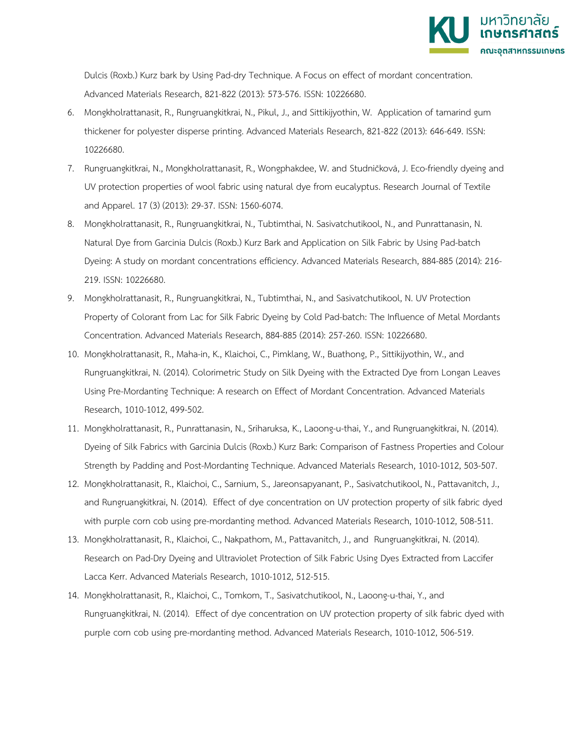

Dulcis (Roxb.) Kurz bark by Using Pad-dry Technique. A Focus on effect of mordant concentration. Advanced Materials Research, 821-822 (2013): 573-576. ISSN: 10226680.

- 6. Mongkholrattanasit, R., Rungruangkitkrai, N., Pikul, J., and Sittikijyothin, W. Application of tamarind gum thickener for polyester disperse printing. Advanced Materials Research, 821-822 (2013): 646-649. ISSN: 10226680.
- 7. Rungruangkitkrai, N., Mongkholrattanasit, R., Wongphakdee, W. and Studničková, J. Eco-friendly dyeing and UV protection properties of wool fabric using natural dye from eucalyptus. Research Journal of Textile and Apparel. 17 (3) (2013): 29-37. ISSN: 1560-6074.
- 8. Mongkholrattanasit, R., Rungruangkitkrai, N., Tubtimthai, N. Sasivatchutikool, N., and Punrattanasin, N. Natural Dye from Garcinia Dulcis (Roxb.) Kurz Bark and Application on Silk Fabric by Using Pad-batch Dyeing: A study on mordant concentrations efficiency. Advanced Materials Research, 884-885 (2014): 216- 219. ISSN: 10226680.
- 9. Mongkholrattanasit, R., Rungruangkitkrai, N., Tubtimthai, N., and Sasivatchutikool, N. UV Protection Property of Colorant from Lac for Silk Fabric Dyeing by Cold Pad-batch: The Influence of Metal Mordants Concentration. Advanced Materials Research, 884-885 (2014): 257-260. ISSN: 10226680.
- 10. Mongkholrattanasit, R., Maha-in, K., Klaichoi, C., Pimklang, W., Buathong, P., Sittikijyothin, W., and Rungruangkitkrai, N. (2014). Colorimetric Study on Silk Dyeing with the Extracted Dye from Longan Leaves Using Pre-Mordanting Technique: A research on Effect of Mordant Concentration. Advanced Materials Research, 1010-1012, 499-502.
- 11. Mongkholrattanasit, R., Punrattanasin, N., Sriharuksa, K., Laoong-u-thai, Y., and Rungruangkitkrai, N. (2014). Dyeing of Silk Fabrics with Garcinia Dulcis (Roxb.) Kurz Bark: Comparison of Fastness Properties and Colour Strength by Padding and Post-Mordanting Technique. Advanced Materials Research, 1010-1012, 503-507.
- 12. Mongkholrattanasit, R., Klaichoi, C., Sarnium, S., Jareonsapyanant, P., Sasivatchutikool, N., Pattavanitch, J., and Rungruangkitkrai, N. (2014). Effect of dye concentration on UV protection property of silk fabric dyed with purple corn cob using pre-mordanting method. Advanced Materials Research, 1010-1012, 508-511.
- 13. Mongkholrattanasit, R., Klaichoi, C., Nakpathom, M., Pattavanitch, J., and Rungruangkitkrai, N. (2014). Research on Pad-Dry Dyeing and Ultraviolet Protection of Silk Fabric Using Dyes Extracted from Laccifer Lacca Kerr. Advanced Materials Research, 1010-1012, 512-515.
- 14. Mongkholrattanasit, R., Klaichoi, C., Tomkom, T., Sasivatchutikool, N., Laoong-u-thai, Y., and Rungruangkitkrai, N. (2014). Effect of dye concentration on UV protection property of silk fabric dyed with purple corn cob using pre-mordanting method. Advanced Materials Research, 1010-1012, 506-519.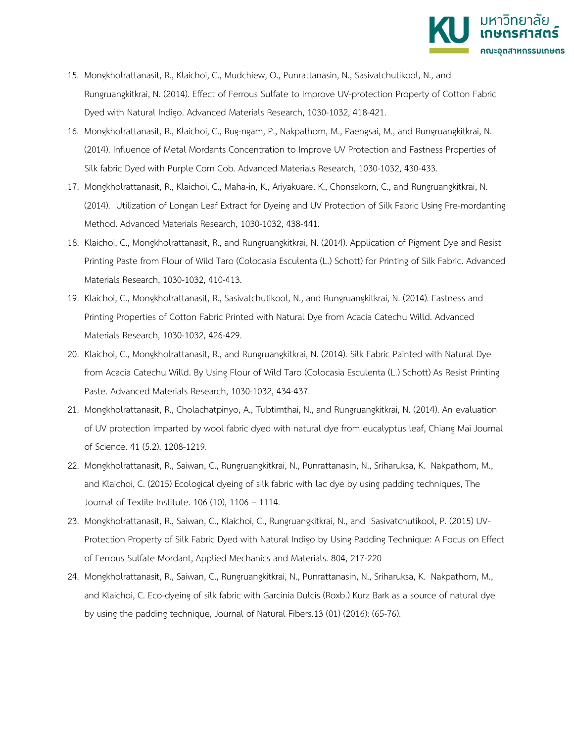

- 15. Mongkholrattanasit, R., Klaichoi, C., Mudchiew, O., Punrattanasin, N., Sasivatchutikool, N., and Rungruangkitkrai, N. (2014). Effect of Ferrous Sulfate to Improve UV-protection Property of Cotton Fabric Dyed with Natural Indigo. Advanced Materials Research, 1030-1032, 418-421.
- 16. Mongkholrattanasit, R., Klaichoi, C., Rug-ngam, P., Nakpathom, M., Paengsai, M., and Rungruangkitkrai, N. (2014). Influence of Metal Mordants Concentration to Improve UV Protection and Fastness Properties of Silk fabric Dyed with Purple Corn Cob. Advanced Materials Research, 1030-1032, 430-433.
- 17. Mongkholrattanasit, R., Klaichoi, C., Maha-in, K., Ariyakuare, K., Chonsakorn, C., and Rungruangkitkrai, N. (2014). Utilization of Longan Leaf Extract for Dyeing and UV Protection of Silk Fabric Using Pre-mordanting Method. Advanced Materials Research, 1030-1032, 438-441.
- 18. Klaichoi, C., Mongkholrattanasit, R., and Rungruangkitkrai, N. (2014). Application of Pigment Dye and Resist Printing Paste from Flour of Wild Taro (Colocasia Esculenta (L.) Schott) for Printing of Silk Fabric. Advanced Materials Research, 1030-1032, 410-413.
- 19. Klaichoi, C., Mongkholrattanasit, R., Sasivatchutikool, N., and Rungruangkitkrai, N. (2014). Fastness and Printing Properties of Cotton Fabric Printed with Natural Dye from Acacia Catechu Willd. Advanced Materials Research, 1030-1032, 426-429.
- 20. Klaichoi, C., Mongkholrattanasit, R., and Rungruangkitkrai, N. (2014). Silk Fabric Painted with Natural Dye from Acacia Catechu Willd. By Using Flour of Wild Taro (Colocasia Esculenta (L.) Schott) As Resist Printing Paste. Advanced Materials Research, 1030-1032, 434-437.
- 21. Mongkholrattanasit, R., Cholachatpinyo, A., Tubtimthai, N., and Rungruangkitkrai, N. (2014). An evaluation of UV protection imparted by wool fabric dyed with natural dye from eucalyptus leaf, Chiang Mai Journal of Science. 41 (5.2), 1208-1219.
- 22. Mongkholrattanasit, R., Saiwan, C., Rungruangkitkrai, N., Punrattanasin, N., Sriharuksa, K. Nakpathom, M., and Klaichoi, C. (2015) Ecological dyeing of silk fabric with lac dye by using padding techniques, The Journal of Textile Institute. 106 (10), 1106 – 1114.
- 23. Mongkholrattanasit, R., Saiwan, C., Klaichoi, C., Rungruangkitkrai, N., and Sasivatchutikool, P. (2015) UV-Protection Property of Silk Fabric Dyed with Natural Indigo by Using Padding Technique: A Focus on Effect of Ferrous Sulfate Mordant, Applied Mechanics and Materials. 804, 217-220
- 24. Mongkholrattanasit, R., Saiwan, C., Rungruangkitkrai, N., Punrattanasin, N., Sriharuksa, K. Nakpathom, M., and Klaichoi, C. Eco-dyeing of silk fabric with Garcinia Dulcis (Roxb.) Kurz Bark as a source of natural dye by using the padding technique, Journal of Natural Fibers.13 (01) (2016): (65-76).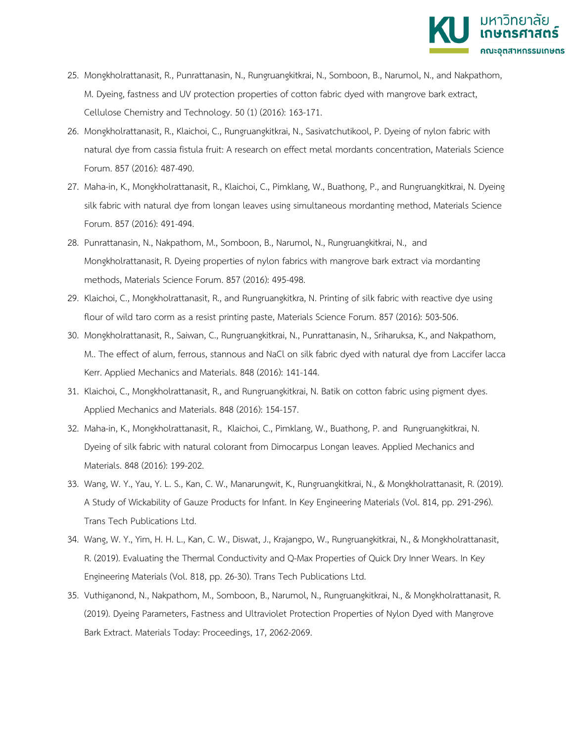

- 25. Mongkholrattanasit, R., Punrattanasin, N., Rungruangkitkrai, N., Somboon, B., Narumol, N., and Nakpathom, M. Dyeing, fastness and UV protection properties of cotton fabric dyed with mangrove bark extract, Cellulose Chemistry and Technology. 50 (1) (2016): 163-171.
- 26. Mongkholrattanasit, R., Klaichoi, C., Rungruangkitkrai, N., Sasivatchutikool, P. Dyeing of nylon fabric with natural dye from cassia fistula fruit: A research on effect metal mordants concentration, Materials Science Forum. 857 (2016): 487-490.
- 27. Maha-in, K., Mongkholrattanasit, R., Klaichoi, C., Pimklang, W., Buathong, P., and Rungruangkitkrai, N. Dyeing silk fabric with natural dye from longan leaves using simultaneous mordanting method, Materials Science Forum. 857 (2016): 491-494.
- 28. Punrattanasin, N., Nakpathom, M., Somboon, B., Narumol, N., Rungruangkitkrai, N., and Mongkholrattanasit, R. Dyeing properties of nylon fabrics with mangrove bark extract via mordanting methods, Materials Science Forum. 857 (2016): 495-498.
- 29. Klaichoi, C., Mongkholrattanasit, R., and Rungruangkitkra, N. Printing of silk fabric with reactive dye using flour of wild taro corm as a resist printing paste, Materials Science Forum. 857 (2016): 503-506.
- 30. Mongkholrattanasit, R., Saiwan, C., Rungruangkitkrai, N., Punrattanasin, N., Sriharuksa, K., and Nakpathom, M.. The effect of alum, ferrous, stannous and NaCl on silk fabric dyed with natural dye from Laccifer lacca Kerr. Applied Mechanics and Materials. 848 (2016): 141-144.
- 31. Klaichoi, C., Mongkholrattanasit, R., and Rungruangkitkrai, N. Batik on cotton fabric using pigment dyes. Applied Mechanics and Materials. 848 (2016): 154-157.
- 32. Maha-in, K., Mongkholrattanasit, R., Klaichoi, C., Pimklang, W., Buathong, P. and Rungruangkitkrai, N. Dyeing of silk fabric with natural colorant from Dimocarpus Longan leaves. Applied Mechanics and Materials. 848 (2016): 199-202.
- 33. Wang, W. Y., Yau, Y. L. S., Kan, C. W., Manarungwit, K., Rungruangkitkrai, N., & Mongkholrattanasit, R. (2019). A Study of Wickability of Gauze Products for Infant. In Key Engineering Materials (Vol. 814, pp. 291-296). Trans Tech Publications Ltd.
- 34. Wang, W. Y., Yim, H. H. L., Kan, C. W., Diswat, J., Krajangpo, W., Rungruangkitkrai, N., & Mongkholrattanasit, R. (2019). Evaluating the Thermal Conductivity and Q-Max Properties of Quick Dry Inner Wears. In Key Engineering Materials (Vol. 818, pp. 26-30). Trans Tech Publications Ltd.
- 35. Vuthiganond, N., Nakpathom, M., Somboon, B., Narumol, N., Rungruangkitkrai, N., & Mongkholrattanasit, R. (2019). Dyeing Parameters, Fastness and Ultraviolet Protection Properties of Nylon Dyed with Mangrove Bark Extract. Materials Today: Proceedings, 17, 2062-2069.